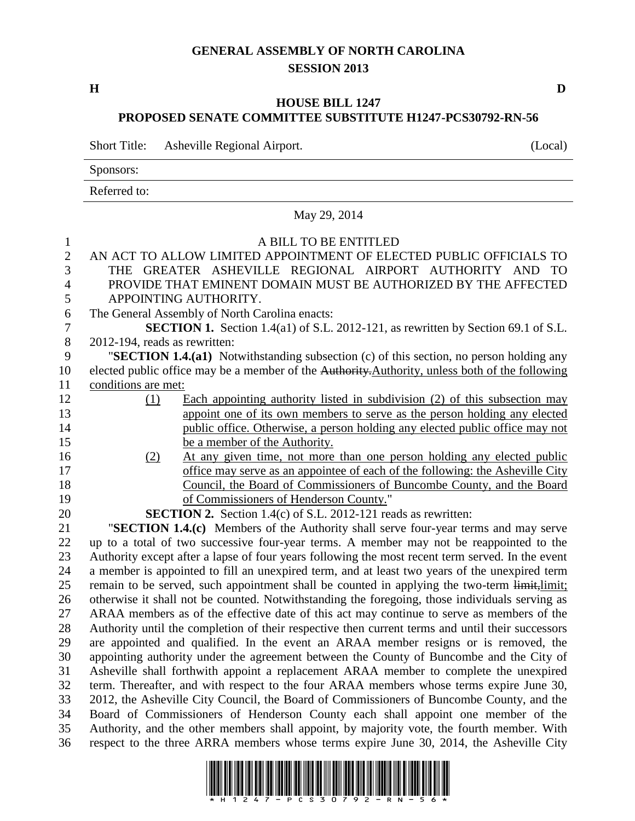## **GENERAL ASSEMBLY OF NORTH CAROLINA SESSION 2013**

**H D**

## **HOUSE BILL 1247 PROPOSED SENATE COMMITTEE SUBSTITUTE H1247-PCS30792-RN-56**

Short Title: Asheville Regional Airport. (Local)

Sponsors:

Referred to:

|                                     | May 29, 2014                                                                                                                                                                                      |
|-------------------------------------|---------------------------------------------------------------------------------------------------------------------------------------------------------------------------------------------------|
| $\mathbf{1}$<br>$\overline{2}$<br>3 | A BILL TO BE ENTITLED<br>AN ACT TO ALLOW LIMITED APPOINTMENT OF ELECTED PUBLIC OFFICIALS TO<br>THE GREATER ASHEVILLE REGIONAL AIRPORT AUTHORITY AND TO                                            |
| $\overline{4}$                      | PROVIDE THAT EMINENT DOMAIN MUST BE AUTHORIZED BY THE AFFECTED                                                                                                                                    |
| 5                                   | APPOINTING AUTHORITY.                                                                                                                                                                             |
| 6                                   | The General Assembly of North Carolina enacts:                                                                                                                                                    |
| $\boldsymbol{7}$                    | <b>SECTION 1.</b> Section 1.4(a1) of S.L. 2012-121, as rewritten by Section 69.1 of S.L.                                                                                                          |
| 8                                   | 2012-194, reads as rewritten:                                                                                                                                                                     |
| 9                                   | "SECTION 1.4.(a1) Notwithstanding subsection (c) of this section, no person holding any                                                                                                           |
| 10                                  | elected public office may be a member of the Authority. Authority, unless both of the following                                                                                                   |
| 11                                  | conditions are met:                                                                                                                                                                               |
| 12                                  | Each appointing authority listed in subdivision (2) of this subsection may<br>(1)                                                                                                                 |
| 13                                  | appoint one of its own members to serve as the person holding any elected                                                                                                                         |
| 14                                  | public office. Otherwise, a person holding any elected public office may not                                                                                                                      |
| 15                                  | be a member of the Authority.                                                                                                                                                                     |
| 16                                  | At any given time, not more than one person holding any elected public<br>(2)                                                                                                                     |
| 17                                  | office may serve as an appointee of each of the following: the Asheville City                                                                                                                     |
| 18                                  | Council, the Board of Commissioners of Buncombe County, and the Board                                                                                                                             |
| 19                                  | of Commissioners of Henderson County."                                                                                                                                                            |
| 20                                  | <b>SECTION 2.</b> Section 1.4(c) of S.L. 2012-121 reads as rewritten:                                                                                                                             |
| 21                                  | "SECTION 1.4.(c) Members of the Authority shall serve four-year terms and may serve                                                                                                               |
| 22<br>23                            | up to a total of two successive four-year terms. A member may not be reappointed to the                                                                                                           |
| 24                                  | Authority except after a lapse of four years following the most recent term served. In the event<br>a member is appointed to fill an unexpired term, and at least two years of the unexpired term |
| 25                                  | remain to be served, such appointment shall be counted in applying the two-term limit, limit;                                                                                                     |
| 26                                  | otherwise it shall not be counted. Notwithstanding the foregoing, those individuals serving as                                                                                                    |
| 27                                  | ARAA members as of the effective date of this act may continue to serve as members of the                                                                                                         |
| 28                                  | Authority until the completion of their respective then current terms and until their successors                                                                                                  |
| 29                                  | are appointed and qualified. In the event an ARAA member resigns or is removed, the                                                                                                               |
| 30                                  | appointing authority under the agreement between the County of Buncombe and the City of                                                                                                           |
| 31                                  | Asheville shall forthwith appoint a replacement ARAA member to complete the unexpired                                                                                                             |
| 32                                  | term. Thereafter, and with respect to the four ARAA members whose terms expire June 30,                                                                                                           |
| 33                                  | 2012, the Asheville City Council, the Board of Commissioners of Buncombe County, and the                                                                                                          |
| 34                                  | Board of Commissioners of Henderson County each shall appoint one member of the                                                                                                                   |
| 35                                  | Authority, and the other members shall appoint, by majority vote, the fourth member. With                                                                                                         |
| 36                                  | respect to the three ARRA members whose terms expire June 30, 2014, the Asheville City                                                                                                            |